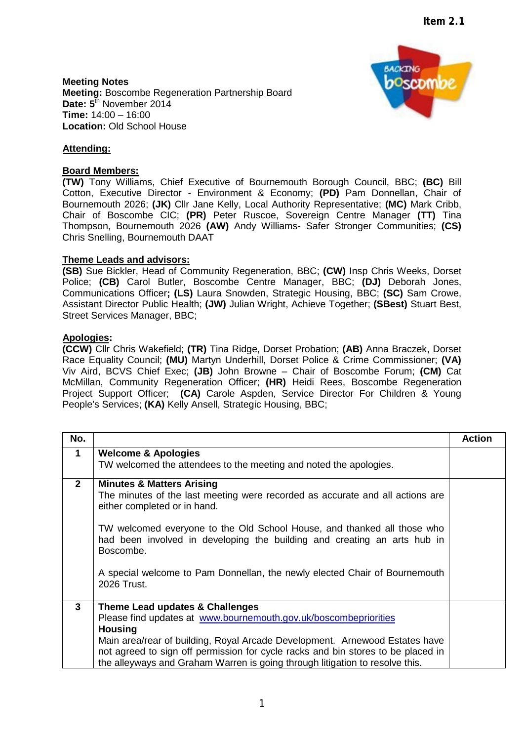**Meeting Notes Meeting:** Boscombe Regeneration Partnership Board Date:  $5^{\overline{th}}$  November 2014 **Time:** 14:00 – 16:00 **Location:** Old School House



# **Attending:**

### **Board Members:**

**(TW)** Tony Williams, Chief Executive of Bournemouth Borough Council, BBC; **(BC)** Bill Cotton, Executive Director - Environment & Economy; **(PD)** Pam Donnellan, Chair of Bournemouth 2026; **(JK)** Cllr Jane Kelly, Local Authority Representative; **(MC)** Mark Cribb, Chair of Boscombe CIC; **(PR)** Peter Ruscoe, Sovereign Centre Manager **(TT)** Tina Thompson, Bournemouth 2026 **(AW)** Andy Williams- Safer Stronger Communities; **(CS)** Chris Snelling, Bournemouth DAAT

#### **Theme Leads and advisors:**

**(SB)** Sue Bickler, Head of Community Regeneration, BBC; **(CW)** Insp Chris Weeks, Dorset Police; **(CB)** Carol Butler, Boscombe Centre Manager, BBC; **(DJ)** Deborah Jones, Communications Officer**; (LS)** Laura Snowden, Strategic Housing, BBC; **(SC)** Sam Crowe, Assistant Director Public Health; **(JW)** Julian Wright, Achieve Together; **(SBest)** Stuart Best, Street Services Manager, BBC;

#### **Apologies:**

**(CCW)** Cllr Chris Wakefield; **(TR)** Tina Ridge, Dorset Probation; **(AB)** Anna Braczek, Dorset Race Equality Council; **(MU)** Martyn Underhill, Dorset Police & Crime Commissioner; **(VA)** Viv Aird, BCVS Chief Exec; **(JB)** John Browne – Chair of Boscombe Forum; **(CM)** Cat McMillan, Community Regeneration Officer; **(HR)** Heidi Rees, Boscombe Regeneration Project Support Officer; **(CA)** Carole Aspden, Service Director For Children & Young People's Services; **(KA)** Kelly Ansell, Strategic Housing, BBC;

| No.          |                                                                                                                                                                                                                                                                                                                                                                                                                        | <b>Action</b> |
|--------------|------------------------------------------------------------------------------------------------------------------------------------------------------------------------------------------------------------------------------------------------------------------------------------------------------------------------------------------------------------------------------------------------------------------------|---------------|
| $\mathbf 1$  | <b>Welcome &amp; Apologies</b><br>TW welcomed the attendees to the meeting and noted the apologies.                                                                                                                                                                                                                                                                                                                    |               |
|              |                                                                                                                                                                                                                                                                                                                                                                                                                        |               |
| $\mathbf{2}$ | <b>Minutes &amp; Matters Arising</b><br>The minutes of the last meeting were recorded as accurate and all actions are<br>either completed or in hand.<br>TW welcomed everyone to the Old School House, and thanked all those who<br>had been involved in developing the building and creating an arts hub in<br>Boscombe.<br>A special welcome to Pam Donnellan, the newly elected Chair of Bournemouth<br>2026 Trust. |               |
| $\mathbf{3}$ | Theme Lead updates & Challenges                                                                                                                                                                                                                                                                                                                                                                                        |               |
|              | Please find updates at www.bournemouth.gov.uk/boscombepriorities                                                                                                                                                                                                                                                                                                                                                       |               |
|              | <b>Housing</b>                                                                                                                                                                                                                                                                                                                                                                                                         |               |
|              | Main area/rear of building, Royal Arcade Development. Arnewood Estates have                                                                                                                                                                                                                                                                                                                                            |               |
|              | not agreed to sign off permission for cycle racks and bin stores to be placed in                                                                                                                                                                                                                                                                                                                                       |               |
|              | the alleyways and Graham Warren is going through litigation to resolve this.                                                                                                                                                                                                                                                                                                                                           |               |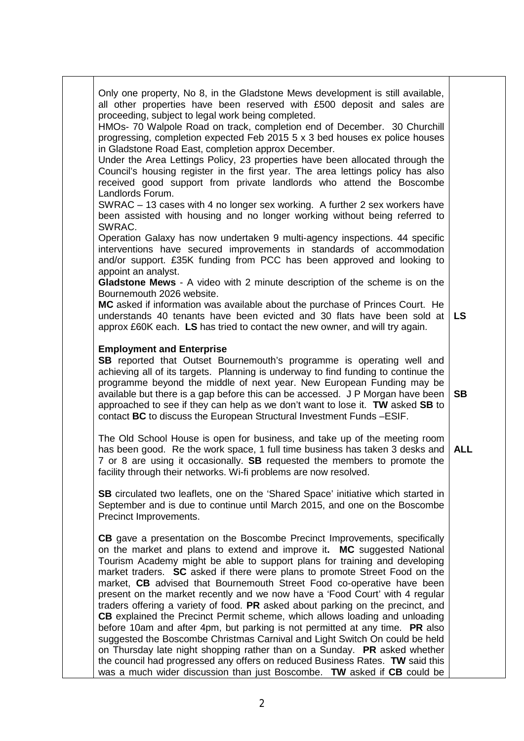| Only one property, No 8, in the Gladstone Mews development is still available,<br>all other properties have been reserved with $£500$ deposit and sales are<br>proceeding, subject to legal work being completed.<br>HMOs- 70 Walpole Road on track, completion end of December. 30 Churchill<br>progressing, completion expected Feb 2015 5 x 3 bed houses ex police houses<br>in Gladstone Road East, completion approx December.<br>Under the Area Lettings Policy, 23 properties have been allocated through the<br>Council's housing register in the first year. The area lettings policy has also<br>received good support from private landlords who attend the Boscombe<br>Landlords Forum.<br>SWRAC - 13 cases with 4 no longer sex working. A further 2 sex workers have<br>been assisted with housing and no longer working without being referred to<br>SWRAC.<br>Operation Galaxy has now undertaken 9 multi-agency inspections. 44 specific |            |
|-----------------------------------------------------------------------------------------------------------------------------------------------------------------------------------------------------------------------------------------------------------------------------------------------------------------------------------------------------------------------------------------------------------------------------------------------------------------------------------------------------------------------------------------------------------------------------------------------------------------------------------------------------------------------------------------------------------------------------------------------------------------------------------------------------------------------------------------------------------------------------------------------------------------------------------------------------------|------------|
| interventions have secured improvements in standards of accommodation<br>and/or support. £35K funding from PCC has been approved and looking to<br>appoint an analyst.<br>Gladstone Mews - A video with 2 minute description of the scheme is on the<br>Bournemouth 2026 website.<br>MC asked if information was available about the purchase of Princes Court. He<br>understands 40 tenants have been evicted and 30 flats have been sold at<br>approx £60K each. LS has tried to contact the new owner, and will try again.                                                                                                                                                                                                                                                                                                                                                                                                                             | <b>LS</b>  |
| <b>Employment and Enterprise</b><br><b>SB</b> reported that Outset Bournemouth's programme is operating well and<br>achieving all of its targets. Planning is underway to find funding to continue the<br>programme beyond the middle of next year. New European Funding may be<br>available but there is a gap before this can be accessed. J P Morgan have been<br>approached to see if they can help as we don't want to lose it. TW asked SB to<br>contact BC to discuss the European Structural Investment Funds - ESIF.                                                                                                                                                                                                                                                                                                                                                                                                                             | <b>SB</b>  |
| The Old School House is open for business, and take up of the meeting room<br>has been good. Re the work space, 1 full time business has taken 3 desks and<br>7 or 8 are using it occasionally. SB requested the members to promote the<br>facility through their networks. Wi-fi problems are now resolved.                                                                                                                                                                                                                                                                                                                                                                                                                                                                                                                                                                                                                                              | <b>ALL</b> |
| SB circulated two leaflets, one on the 'Shared Space' initiative which started in<br>September and is due to continue until March 2015, and one on the Boscombe<br>Precinct Improvements.                                                                                                                                                                                                                                                                                                                                                                                                                                                                                                                                                                                                                                                                                                                                                                 |            |
| CB gave a presentation on the Boscombe Precinct Improvements, specifically<br>on the market and plans to extend and improve it. MC suggested National<br>Tourism Academy might be able to support plans for training and developing<br>market traders. SC asked if there were plans to promote Street Food on the<br>market, CB advised that Bournemouth Street Food co-operative have been<br>present on the market recently and we now have a 'Food Court' with 4 regular<br>traders offering a variety of food. PR asked about parking on the precinct, and<br><b>CB</b> explained the Precinct Permit scheme, which allows loading and unloading<br>before 10am and after 4pm, but parking is not permitted at any time. PR also                                                                                                                                                                                                                      |            |
| suggested the Boscombe Christmas Carnival and Light Switch On could be held<br>on Thursday late night shopping rather than on a Sunday. PR asked whether<br>the council had progressed any offers on reduced Business Rates. TW said this<br>was a much wider discussion than just Boscombe. TW asked if CB could be                                                                                                                                                                                                                                                                                                                                                                                                                                                                                                                                                                                                                                      |            |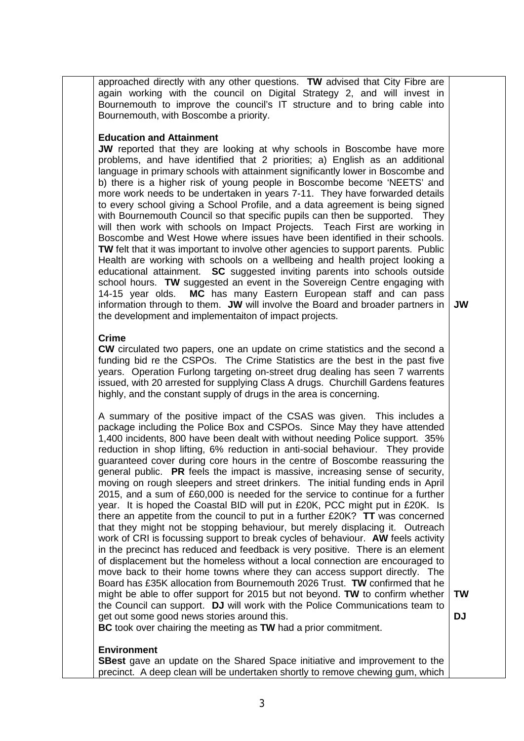approached directly with any other questions. **TW** advised that City Fibre are again working with the council on Digital Strategy 2, and will invest in Bournemouth to improve the council's IT structure and to bring cable into Bournemouth, with Boscombe a priority.

## **Education and Attainment**

**JW** reported that they are looking at why schools in Boscombe have more problems, and have identified that 2 priorities; a) English as an additional language in primary schools with attainment significantly lower in Boscombe and b) there is a higher risk of young people in Boscombe become 'NEETS' and more work needs to be undertaken in years 7-11. They have forwarded details to every school giving a School Profile, and a data agreement is being signed with Bournemouth Council so that specific pupils can then be supported. They will then work with schools on Impact Projects. Teach First are working in Boscombe and West Howe where issues have been identified in their schools. **TW** felt that it was important to involve other agencies to support parents. Public Health are working with schools on a wellbeing and health project looking a educational attainment. **SC** suggested inviting parents into schools outside school hours. **TW** suggested an event in the Sovereign Centre engaging with 14-15 year olds. **MC** has many Eastern European staff and can pass information through to them. **JW** will involve the Board and broader partners in the development and implementaiton of impact projects.

**JW**

#### **Crime**

**CW** circulated two papers, one an update on crime statistics and the second a funding bid re the CSPOs. The Crime Statistics are the best in the past five years. Operation Furlong targeting on-street drug dealing has seen 7 warrents issued, with 20 arrested for supplying Class A drugs. Churchill Gardens features highly, and the constant supply of drugs in the area is concerning.

A summary of the positive impact of the CSAS was given. This includes a package including the Police Box and CSPOs. Since May they have attended 1,400 incidents, 800 have been dealt with without needing Police support. 35% reduction in shop lifting, 6% reduction in anti-social behaviour. They provide guaranteed cover during core hours in the centre of Boscombe reassuring the general public. **PR** feels the impact is massive, increasing sense of security, moving on rough sleepers and street drinkers. The initial funding ends in April 2015, and a sum of £60,000 is needed for the service to continue for a further year. It is hoped the Coastal BID will put in £20K, PCC might put in £20K. Is there an appetite from the council to put in a further £20K? **TT** was concerned that they might not be stopping behaviour, but merely displacing it. Outreach work of CRI is focussing support to break cycles of behaviour. **AW** feels activity in the precinct has reduced and feedback is very positive. There is an element of displacement but the homeless without a local connection are encouraged to move back to their home towns where they can access support directly. The Board has £35K allocation from Bournemouth 2026 Trust. **TW** confirmed that he might be able to offer support for 2015 but not beyond. **TW** to confirm whether the Council can support. **DJ** will work with the Police Communications team to get out some good news stories around this. **BC** took over chairing the meeting as **TW** had a prior commitment. **TW**

 $D<sub>1</sub>$ 

## **Environment**

**SBest** gave an update on the Shared Space initiative and improvement to the precinct. A deep clean will be undertaken shortly to remove chewing gum, which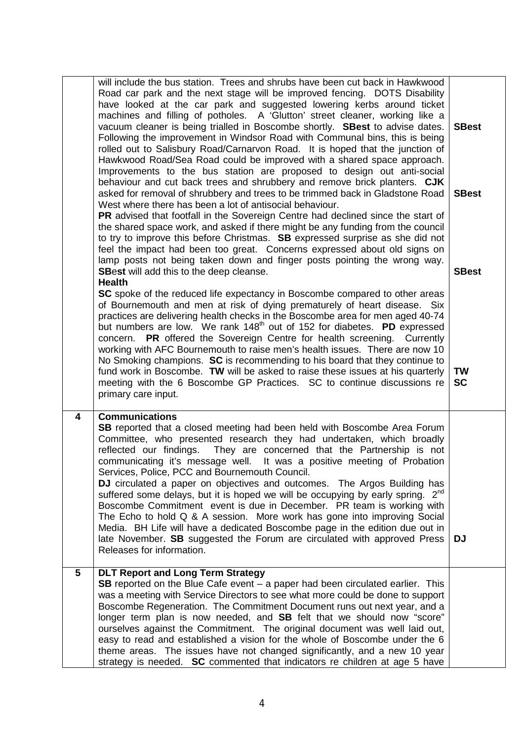|   | will include the bus station. Trees and shrubs have been cut back in Hawkwood<br>Road car park and the next stage will be improved fencing. DOTS Disability<br>have looked at the car park and suggested lowering kerbs around ticket<br>machines and filling of potholes. A 'Glutton' street cleaner, working like a<br>vacuum cleaner is being trialled in Boscombe shortly. SBest to advise dates.<br>Following the improvement in Windsor Road with Communal bins, this is being<br>rolled out to Salisbury Road/Carnarvon Road. It is hoped that the junction of<br>Hawkwood Road/Sea Road could be improved with a shared space approach.<br>Improvements to the bus station are proposed to design out anti-social<br>behaviour and cut back trees and shrubbery and remove brick planters. CJK<br>asked for removal of shrubbery and trees to be trimmed back in Gladstone Road<br>West where there has been a lot of antisocial behaviour.<br><b>PR</b> advised that footfall in the Sovereign Centre had declined since the start of<br>the shared space work, and asked if there might be any funding from the council<br>to try to improve this before Christmas. SB expressed surprise as she did not<br>feel the impact had been too great. Concerns expressed about old signs on<br>lamp posts not being taken down and finger posts pointing the wrong way.<br><b>SBest</b> will add this to the deep cleanse.<br><b>Health</b><br>SC spoke of the reduced life expectancy in Boscombe compared to other areas<br>of Bournemouth and men at risk of dying prematurely of heart disease. Six<br>practices are delivering health checks in the Boscombe area for men aged 40-74<br>but numbers are low. We rank 148 <sup>th</sup> out of 152 for diabetes. <b>PD</b> expressed<br>concern. PR offered the Sovereign Centre for health screening. Currently<br>working with AFC Bournemouth to raise men's health issues. There are now 10<br>No Smoking champions. SC is recommending to his board that they continue to<br>fund work in Boscombe. TW will be asked to raise these issues at his quarterly<br>meeting with the 6 Boscombe GP Practices. SC to continue discussions re | <b>SBest</b><br><b>SBest</b><br><b>SBest</b><br>TW<br><b>SC</b> |
|---|-----------------------------------------------------------------------------------------------------------------------------------------------------------------------------------------------------------------------------------------------------------------------------------------------------------------------------------------------------------------------------------------------------------------------------------------------------------------------------------------------------------------------------------------------------------------------------------------------------------------------------------------------------------------------------------------------------------------------------------------------------------------------------------------------------------------------------------------------------------------------------------------------------------------------------------------------------------------------------------------------------------------------------------------------------------------------------------------------------------------------------------------------------------------------------------------------------------------------------------------------------------------------------------------------------------------------------------------------------------------------------------------------------------------------------------------------------------------------------------------------------------------------------------------------------------------------------------------------------------------------------------------------------------------------------------------------------------------------------------------------------------------------------------------------------------------------------------------------------------------------------------------------------------------------------------------------------------------------------------------------------------------------------------------------------------------------------------------------------------------------------------------------------------------------------------------------------|-----------------------------------------------------------------|
| 4 | primary care input.<br><b>Communications</b><br><b>SB</b> reported that a closed meeting had been held with Boscombe Area Forum<br>Committee, who presented research they had undertaken, which broadly<br>reflected our findings.<br>They are concerned that the Partnership is not<br>communicating it's message well. It was a positive meeting of Probation<br>Services, Police, PCC and Bournemouth Council.<br>DJ circulated a paper on objectives and outcomes. The Argos Building has<br>suffered some delays, but it is hoped we will be occupying by early spring. 2 <sup>nd</sup><br>Boscombe Commitment event is due in December. PR team is working with<br>The Echo to hold Q & A session. More work has gone into improving Social<br>Media. BH Life will have a dedicated Boscombe page in the edition due out in<br>late November. SB suggested the Forum are circulated with approved Press<br>Releases for information.                                                                                                                                                                                                                                                                                                                                                                                                                                                                                                                                                                                                                                                                                                                                                                                                                                                                                                                                                                                                                                                                                                                                                                                                                                                          | <b>DJ</b>                                                       |
| 5 | <b>DLT Report and Long Term Strategy</b><br><b>SB</b> reported on the Blue Cafe event – a paper had been circulated earlier. This<br>was a meeting with Service Directors to see what more could be done to support<br>Boscombe Regeneration. The Commitment Document runs out next year, and a<br>longer term plan is now needed, and <b>SB</b> felt that we should now "score"<br>ourselves against the Commitment. The original document was well laid out,<br>easy to read and established a vision for the whole of Boscombe under the 6<br>theme areas. The issues have not changed significantly, and a new 10 year<br>strategy is needed. SC commented that indicators re children at age 5 have                                                                                                                                                                                                                                                                                                                                                                                                                                                                                                                                                                                                                                                                                                                                                                                                                                                                                                                                                                                                                                                                                                                                                                                                                                                                                                                                                                                                                                                                                            |                                                                 |